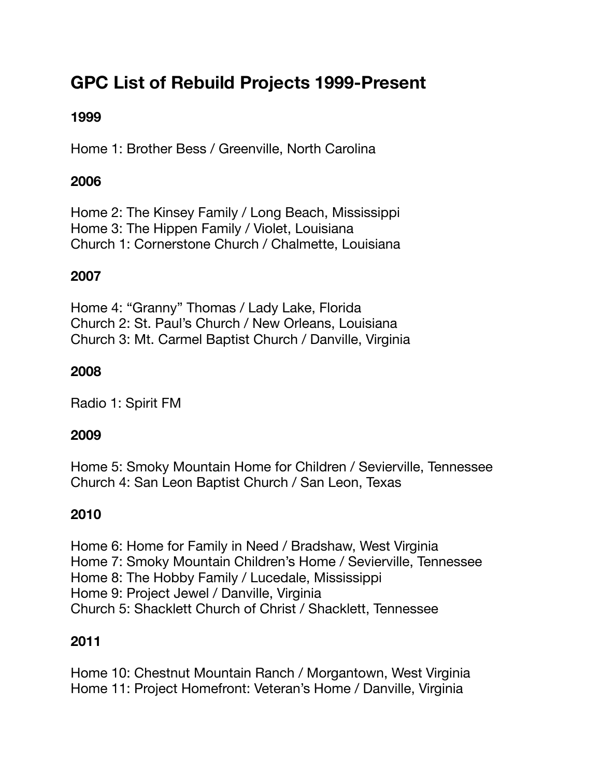# **GPC List of Rebuild Projects 1999-Present**

# **1999**

Home 1: Brother Bess / Greenville, North Carolina

## **2006**

Home 2: The Kinsey Family / Long Beach, Mississippi Home 3: The Hippen Family / Violet, Louisiana Church 1: Cornerstone Church / Chalmette, Louisiana

# **2007**

Home 4: "Granny" Thomas / Lady Lake, Florida Church 2: St. Paul's Church / New Orleans, Louisiana Church 3: Mt. Carmel Baptist Church / Danville, Virginia

## **2008**

Radio 1: Spirit FM

## **2009**

Home 5: Smoky Mountain Home for Children / Sevierville, Tennessee Church 4: San Leon Baptist Church / San Leon, Texas

## **2010**

Home 6: Home for Family in Need / Bradshaw, West Virginia Home 7: Smoky Mountain Children's Home / Sevierville, Tennessee Home 8: The Hobby Family / Lucedale, Mississippi Home 9: Project Jewel / Danville, Virginia Church 5: Shacklett Church of Christ / Shacklett, Tennessee

## **2011**

Home 10: Chestnut Mountain Ranch / Morgantown, West Virginia Home 11: Project Homefront: Veteran's Home / Danville, Virginia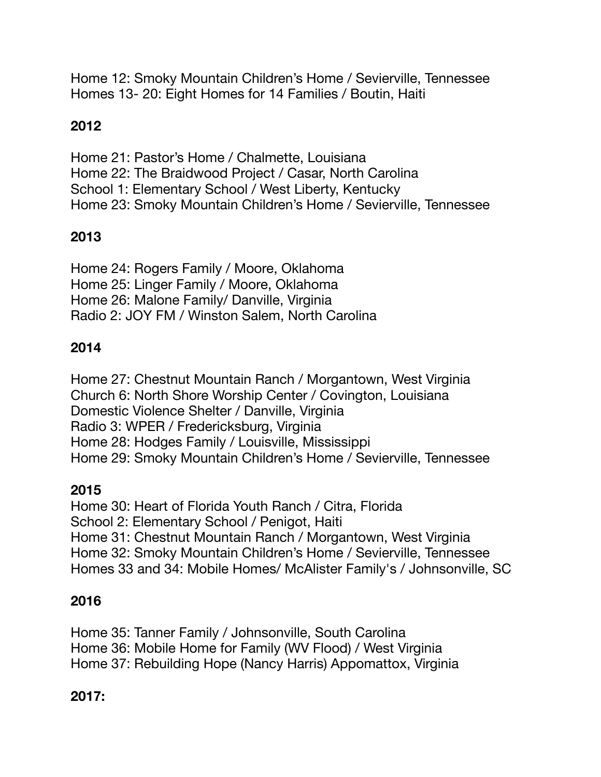Home 12: Smoky Mountain Children's Home / Sevierville, Tennessee Homes 13- 20: Eight Homes for 14 Families / Boutin, Haiti

# **2012**

Home 21: Pastor's Home / Chalmette, Louisiana Home 22: The Braidwood Project / Casar, North Carolina School 1: Elementary School / West Liberty, Kentucky Home 23: Smoky Mountain Children's Home / Sevierville, Tennessee

## **2013**

Home 24: Rogers Family / Moore, Oklahoma Home 25: Linger Family / Moore, Oklahoma Home 26: Malone Family/ Danville, Virginia Radio 2: JOY FM / Winston Salem, North Carolina

## **2014**

Home 27: Chestnut Mountain Ranch / Morgantown, West Virginia Church 6: North Shore Worship Center / Covington, Louisiana Domestic Violence Shelter / Danville, Virginia Radio 3: WPER / Fredericksburg, Virginia Home 28: Hodges Family / Louisville, Mississippi Home 29: Smoky Mountain Children's Home / Sevierville, Tennessee

#### **2015**

Home 30: Heart of Florida Youth Ranch / Citra, Florida School 2: Elementary School / Penigot, Haiti Home 31: Chestnut Mountain Ranch / Morgantown, West Virginia Home 32: Smoky Mountain Children's Home / Sevierville, Tennessee Homes 33 and 34: Mobile Homes/ McAlister Family's / Johnsonville, SC

#### **2016**

Home 35: Tanner Family / Johnsonville, South Carolina Home 36: Mobile Home for Family (WV Flood) / West Virginia Home 37: Rebuilding Hope (Nancy Harris) Appomattox, Virginia

#### **2017:**